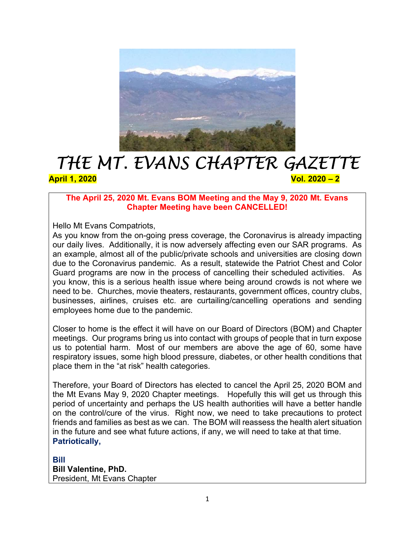

# THE MT. EVANS CHAPTER GAZETTE April 1, 2020 **Vol. 2020** 2

# The April 25, 2020 Mt. Evans BOM Meeting and the May 9, 2020 Mt. Evans Chapter Meeting have been CANCELLED!

Hello Mt Evans Compatriots,

As you know from the on-going press coverage, the Coronavirus is already impacting our daily lives. Additionally, it is now adversely affecting even our SAR programs. As an example, almost all of the public/private schools and universities are closing down due to the Coronavirus pandemic. As a result, statewide the Patriot Chest and Color Guard programs are now in the process of cancelling their scheduled activities. As you know, this is a serious health issue where being around crowds is not where we need to be. Churches, movie theaters, restaurants, government offices, country clubs, businesses, airlines, cruises etc. are curtailing/cancelling operations and sending employees home due to the pandemic.

Closer to home is the effect it will have on our Board of Directors (BOM) and Chapter meetings. Our programs bring us into contact with groups of people that in turn expose us to potential harm. Most of our members are above the age of 60, some have respiratory issues, some high blood pressure, diabetes, or other health conditions that place them in the "at risk" health categories.

Therefore, your Board of Directors has elected to cancel the April 25, 2020 BOM and the Mt Evans May 9, 2020 Chapter meetings. Hopefully this will get us through this period of uncertainty and perhaps the US health authorities will have a better handle on the control/cure of the virus. Right now, we need to take precautions to protect friends and families as best as we can. The BOM will reassess the health alert situation in the future and see what future actions, if any, we will need to take at that time. Patriotically,

Bill Bill Valentine, PhD. President, Mt Evans Chapter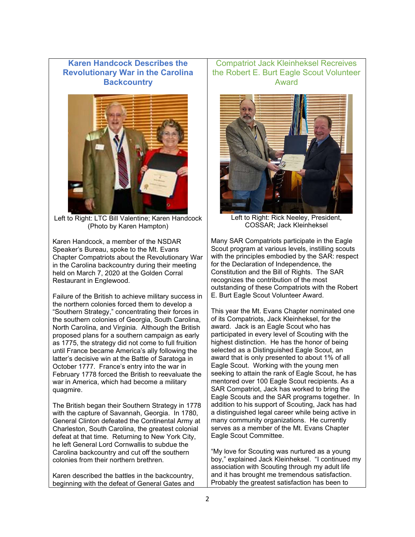## Karen Handcock Describes the Revolutionary War in the Carolina **Backcountry**



Left to Right: LTC Bill Valentine; Karen Handcock (Photo by Karen Hampton)

Karen Handcock, a member of the NSDAR Speaker's Bureau, spoke to the Mt. Evans Chapter Compatriots about the Revolutionary War in the Carolina backcountry during their meeting held on March 7, 2020 at the Golden Corral Restaurant in Englewood.

Failure of the British to achieve military success in the northern colonies forced them to develop a "Southern Strategy," concentrating their forces in the southern colonies of Georgia, South Carolina, North Carolina, and Virginia. Although the British proposed plans for a southern campaign as early as 1775, the strategy did not come to full fruition until France became America's ally following the latter's decisive win at the Battle of Saratoga in October 1777. France's entry into the war in February 1778 forced the British to reevaluate the war in America, which had become a military quagmire.

The British began their Southern Strategy in 1778 with the capture of Savannah, Georgia. In 1780, General Clinton defeated the Continental Army at Charleston, South Carolina, the greatest colonial defeat at that time. Returning to New York City, he left General Lord Cornwallis to subdue the Carolina backcountry and cut off the southern colonies from their northern brethren.

Karen described the battles in the backcountry, beginning with the defeat of General Gates and

Compatriot Jack Kleinheksel Recreives the Robert E. Burt Eagle Scout Volunteer Award



Left to Right: Rick Neeley, President, COSSAR; Jack Kleinheksel

Many SAR Compatriots participate in the Eagle Scout program at various levels, instilling scouts with the principles embodied by the SAR: respect for the Declaration of Independence, the Constitution and the Bill of Rights. The SAR recognizes the contribution of the most outstanding of these Compatriots with the Robert E. Burt Eagle Scout Volunteer Award.

This year the Mt. Evans Chapter nominated one of its Compatriots, Jack Kleinheksel, for the award. Jack is an Eagle Scout who has participated in every level of Scouting with the highest distinction. He has the honor of being selected as a Distinguished Eagle Scout, an award that is only presented to about 1% of all Eagle Scout. Working with the young men seeking to attain the rank of Eagle Scout, he has mentored over 100 Eagle Scout recipients. As a SAR Compatriot, Jack has worked to bring the Eagle Scouts and the SAR programs together. In addition to his support of Scouting, Jack has had a distinguished legal career while being active in many community organizations. He currently serves as a member of the Mt. Evans Chapter Eagle Scout Committee.

"My love for Scouting was nurtured as a young boy," explained Jack Kleinheksel. "I continued my association with Scouting through my adult life and it has brought me tremendous satisfaction. Probably the greatest satisfaction has been to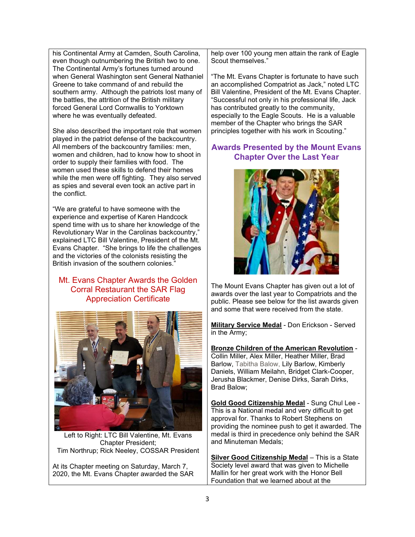his Continental Army at Camden, South Carolina, even though outnumbering the British two to one. The Continental Army's fortunes turned around when General Washington sent General Nathaniel Greene to take command of and rebuild the southern army. Although the patriots lost many of the battles, the attrition of the British military forced General Lord Cornwallis to Yorktown where he was eventually defeated.

She also described the important role that women played in the patriot defense of the backcountry. All members of the backcountry families: men, women and children, had to know how to shoot in order to supply their families with food. The women used these skills to defend their homes while the men were off fighting. They also served as spies and several even took an active part in the conflict.

"We are grateful to have someone with the experience and expertise of Karen Handcock spend time with us to share her knowledge of the Revolutionary War in the Carolinas backcountry," explained LTC Bill Valentine, President of the Mt. Evans Chapter. "She brings to life the challenges and the victories of the colonists resisting the British invasion of the southern colonies."

# Mt. Evans Chapter Awards the Golden Corral Restaurant the SAR Flag Appreciation Certificate



Left to Right: LTC Bill Valentine, Mt. Evans Chapter President; Tim Northrup; Rick Neeley, COSSAR President

At its Chapter meeting on Saturday, March 7, 2020, the Mt. Evans Chapter awarded the SAR help over 100 young men attain the rank of Eagle Scout themselves."

"The Mt. Evans Chapter is fortunate to have such an accomplished Compatriot as Jack," noted LTC Bill Valentine, President of the Mt. Evans Chapter. "Successful not only in his professional life, Jack has contributed greatly to the community, especially to the Eagle Scouts. He is a valuable member of the Chapter who brings the SAR principles together with his work in Scouting."

## Awards Presented by the Mount Evans Chapter Over the Last Year



The Mount Evans Chapter has given out a lot of awards over the last year to Compatriots and the public. Please see below for the list awards given and some that were received from the state.

Military Service Medal - Don Erickson - Served in the Army;

Bronze Children of the American Revolution - Collin Miller, Alex Miller, Heather Miller, Brad Barlow, Tabitha Balow, Lily Barlow, Kimberly Daniels, William Meilahn, Bridget Clark-Cooper, Jerusha Blackmer, Denise Dirks, Sarah Dirks, Brad Balow;

Gold Good Citizenship Medal - Sung Chul Lee - This is a National medal and very difficult to get approval for. Thanks to Robert Stephens on providing the nominee push to get it awarded. The medal is third in precedence only behind the SAR and Minuteman Medals;

Silver Good Citizenship Medal - This is a State Society level award that was given to Michelle Mallin for her great work with the Honor Bell Foundation that we learned about at the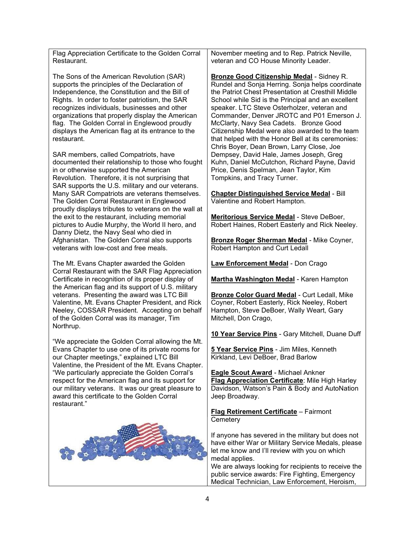Flag Appreciation Certificate to the Golden Corral Restaurant.

The Sons of the American Revolution (SAR) supports the principles of the Declaration of Independence, the Constitution and the Bill of Rights. In order to foster patriotism, the SAR recognizes individuals, businesses and other organizations that properly display the American flag. The Golden Corral in Englewood proudly displays the American flag at its entrance to the restaurant.

SAR members, called Compatriots, have documented their relationship to those who fought in or otherwise supported the American Revolution. Therefore, it is not surprising that SAR supports the U.S. military and our veterans. Many SAR Compatriots are veterans themselves. The Golden Corral Restaurant in Englewood proudly displays tributes to veterans on the wall at the exit to the restaurant, including memorial pictures to Audie Murphy, the World II hero, and Danny Dietz, the Navy Seal who died in Afghanistan. The Golden Corral also supports veterans with low-cost and free meals.

The Mt. Evans Chapter awarded the Golden Corral Restaurant with the SAR Flag Appreciation Certificate in recognition of its proper display of the American flag and its support of U.S. military veterans. Presenting the award was LTC Bill Valentine, Mt. Evans Chapter President, and Rick Neeley, COSSAR President. Accepting on behalf of the Golden Corral was its manager, Tim Northrup.

"We appreciate the Golden Corral allowing the Mt. Evans Chapter to use one of its private rooms for our Chapter meetings," explained LTC Bill Valentine, the President of the Mt. Evans Chapter. "We particularly appreciate the Golden Corral's respect for the American flag and its support for our military veterans. It was our great pleasure to award this certificate to the Golden Corral restaurant."



November meeting and to Rep. Patrick Neville, veteran and CO House Minority Leader.

Bronze Good Citizenship Medal - Sidney R. Rundel and Sonja Herring. Sonja helps coordinate the Patriot Chest Presentation at Cresthill Middle School while Sid is the Principal and an excellent speaker. LTC Steve Osterholzer, veteran and Commander, Denver JROTC and P01 Emerson J. McClarty, Navy Sea Cadets. Bronze Good Citizenship Medal were also awarded to the team that helped with the Honor Bell at its ceremonies: Chris Boyer, Dean Brown, Larry Close, Joe Dempsey, David Hale, James Joseph, Greg Kuhn, Daniel McCutchon, Richard Payne, David Price, Denis Spelman, Jean Taylor, Kim Tompkins, and Tracy Turner.

Chapter Distinguished Service Medal - Bill Valentine and Robert Hampton.

Meritorious Service Medal - Steve DeBoer, Robert Haines, Robert Easterly and Rick Neeley.

Bronze Roger Sherman Medal - Mike Coyner, Robert Hampton and Curt Ledall

Law Enforcement Medal - Don Crago

**Martha Washington Medal** - Karen Hampton

Bronze Color Guard Medal - Curt Ledall, Mike Coyner, Robert Easterly, Rick Neeley, Robert Hampton, Steve DeBoer, Wally Weart, Gary Mitchell, Don Crago,

10 Year Service Pins - Gary Mitchell, Duane Duff

5 Year Service Pins - Jim Miles, Kenneth Kirkland, Levi DeBoer, Brad Barlow

Eagle Scout Award - Michael Ankner Flag Appreciation Certificate: Mile High Harley Davidson, Watson's Pain & Body and AutoNation Jeep Broadway.

Flag Retirement Certificate – Fairmont **Cemeterv** 

If anyone has severed in the military but does not have either War or Military Service Medals, please let me know and I'll review with you on which medal applies.

We are always looking for recipients to receive the public service awards: Fire Fighting, Emergency Medical Technician, Law Enforcement, Heroism,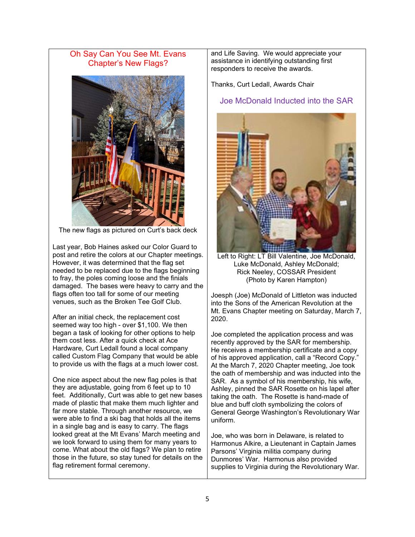Oh Say Can You See Mt. Evans Chapter's New Flags?



The new flags as pictured on Curt's back deck

Last year, Bob Haines asked our Color Guard to post and retire the colors at our Chapter meetings. However, it was determined that the flag set needed to be replaced due to the flags beginning to fray, the poles coming loose and the finials damaged. The bases were heavy to carry and the flags often too tall for some of our meeting venues, such as the Broken Tee Golf Club.

After an initial check, the replacement cost seemed way too high - over \$1,100. We then began a task of looking for other options to help them cost less. After a quick check at Ace Hardware, Curt Ledall found a local company called Custom Flag Company that would be able to provide us with the flags at a much lower cost.

One nice aspect about the new flag poles is that they are adjustable, going from 6 feet up to 10 feet. Additionally, Curt was able to get new bases made of plastic that make them much lighter and far more stable. Through another resource, we were able to find a ski bag that holds all the items in a single bag and is easy to carry. The flags looked great at the Mt Evans' March meeting and we look forward to using them for many years to come. What about the old flags? We plan to retire those in the future, so stay tuned for details on the flag retirement formal ceremony.

and Life Saving. We would appreciate your assistance in identifying outstanding first responders to receive the awards.

Thanks, Curt Ledall, Awards Chair

#### Joe McDonald Inducted into the SAR



Left to Right: LT Bill Valentine, Joe McDonald, Luke McDonald, Ashley McDonald; Rick Neeley, COSSAR President (Photo by Karen Hampton)

Joesph (Joe) McDonald of Littleton was inducted into the Sons of the American Revolution at the Mt. Evans Chapter meeting on Saturday, March 7, 2020.

Joe completed the application process and was recently approved by the SAR for membership. He receives a membership certificate and a copy of his approved application, call a "Record Copy." At the March 7, 2020 Chapter meeting, Joe took the oath of membership and was inducted into the SAR. As a symbol of his membership, his wife, Ashley, pinned the SAR Rosette on his lapel after taking the oath. The Rosette is hand-made of blue and buff cloth symbolizing the colors of General George Washington's Revolutionary War uniform.

Joe, who was born in Delaware, is related to Harmonus Alkire, a Lieutenant in Captain James Parsons' Virginia militia company during Dunmores' War. Harmonus also provided supplies to Virginia during the Revolutionary War.